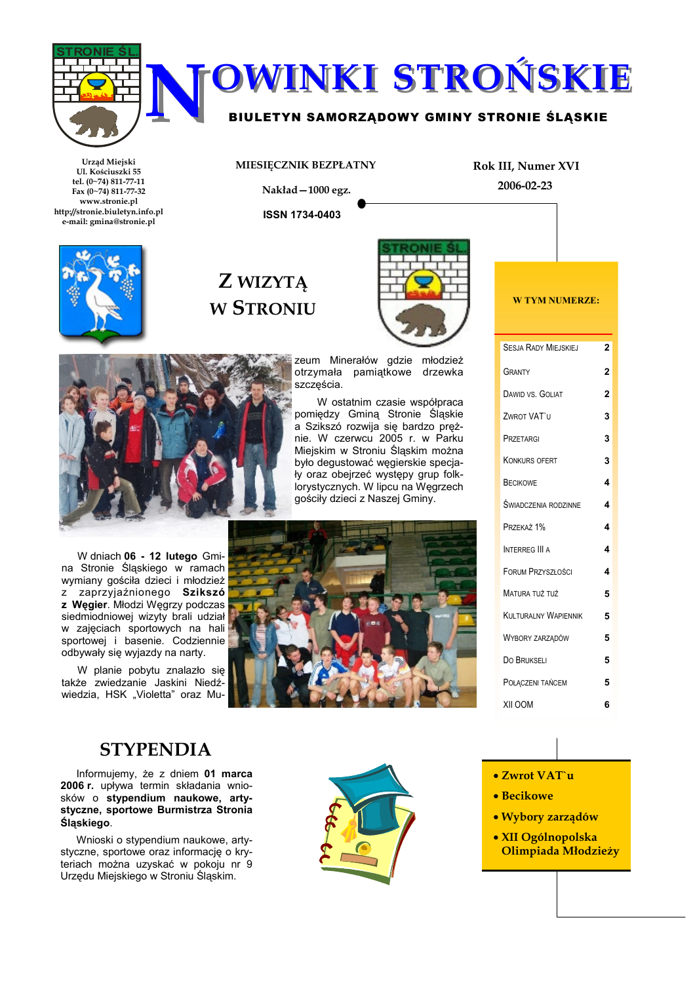

# **OWINKI STROŃSKIE**

### BIULETYN SAMORZĄDOWY GMINY STRONIE ŚLĄSKIE

Urząd Miejski Ul. Kościuszki 55 tel. (0~74) 811-77-11 Fax  $(0-74)$  811-77-32 www.stronie.pl http://stronie.biuletyn.info.pl e-mail: gmina@stronie.pl



# Z WIZYTĄ **W STRONIU**

MIESIĘCZNIK BEZPŁATNY

Nakład-1000 egz.

**ISSN 1734-0403** 



zeum Minerałów gdzie młodzież otrzymała pamiątkowe drzewka szcześcia.

W ostatnim czasie współpraca pomiędzy Gminą Stronie Śląskie a Szikszó rozwija się bardzo prężnie. W czerwcu 2005 r. w Parku Miejskim w Stroniu Śląskim można było degustować węgierskie specjały oraz obejrzeć występy grup folklorystycznych. W lipcu na Węgrzech gościły dzieci z Naszej Gminy.



W dniach 06 - 12 lutego Gmina Stronie Śląskiego w ramach wymiany gościła dzieci i młodzież z zaprzyjaźnionego Szikszó z Węgier. Młodzi Węgrzy podczas siedmiodniowej wizyty brali udział w zajęciach sportowych na hali sportowej i basenie. Codziennie odbywały się wyjazdy na narty.

W planie pobytu znalazło się także zwiedzanie Jaskini Niedźwiedzia, HSK "Violetta" oraz Mu-





Rok III, Numer XVI

2006-02-23

# **STYPENDIA**

Informujemy, że z dniem 01 marca 2006 r. upływa termin składania wniosków o stypendium naukowe, artystyczne, sportowe Burmistrza Stronia Śląskiego.

Wnioski o stypendium naukowe, artystyczne, sportowe oraz informację o kryteriach można uzyskać w pokoju nr 9 Urzędu Miejskiego w Stroniu Śląskim.



- Zwrot VAT'u
- Becikowe
- · Wybory zarządów
- · XII Ogólnopolska Olimpiada Młodzieży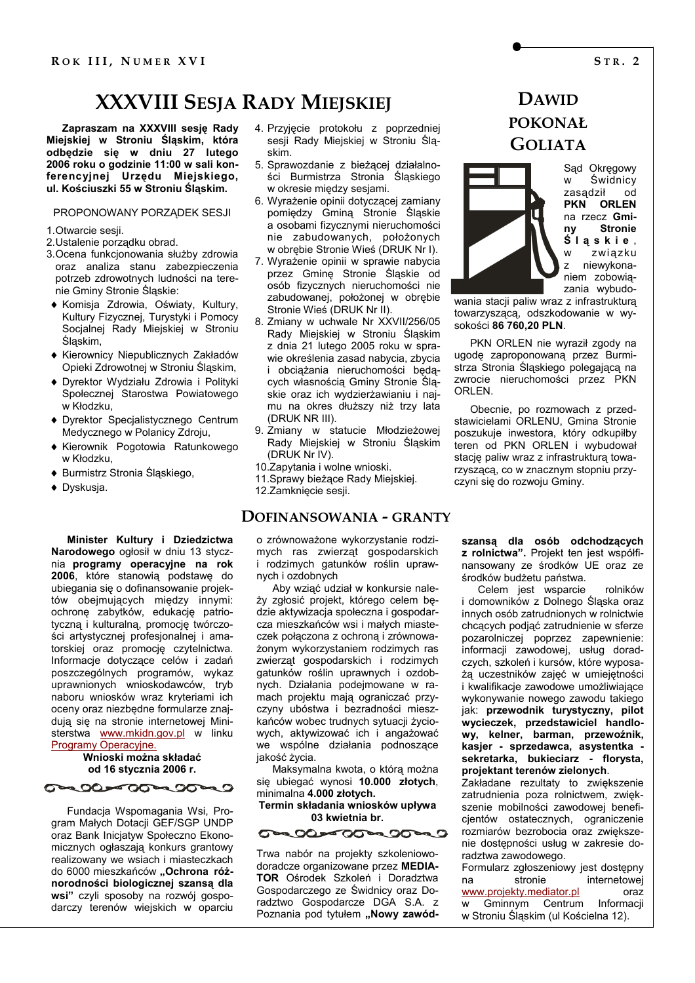# **XXXVIII SESJA RADY MIEJSKIEJ**

Zapraszam na XXXVIII sesję Rady Miejskiej w Stroniu Śląskim, która odbędzie się w dniu 27 lutego 2006 roku o godzinie 11:00 w sali konferencyjnej Urzędu Miejskiego, ul. Kościuszki 55 w Stroniu Śląskim.

#### PROPONOWANY PORZADEK SESJI

1 Otwarcie sesii

- 2. Ustalenie porzadku obrad.
- 3. Ocena funkcjonowania służby zdrowia oraz analiza stanu zabezpieczenia potrzeb zdrowotnych ludności na terenie Gminy Stronie Śląskie:
- Komisia Zdrowia. Oświaty. Kultury. Kultury Fizycznej, Turystyki i Pomocy Socjalnej Rady Miejskiej w Stroniu Ślaskim.
- ◆ Kierownicy Niepublicznych Zakładów Opieki Zdrowotnei w Stroniu Ślaskim.
- Dyrektor Wydziału Zdrowia i Polityki Społecznej Starostwa Powiatowego w Kłodzku.
- Dyrektor Specialistycznego Centrum Medvcznego w Polanicy Zdroju.
- Kierownik Pogotowia Ratunkowego w Kłodzku.
- ♦ Burmistrz Stronia Śląskiego,
- ◆ Dyskusia.

Minister Kultury i Dziedzictwa Narodowego ogłosił w dniu 13 stycznia programy operacyjne na rok 2006, które stanowią podstawę do ubiegania się o dofinansowanie projektów obejmujących między innymi: ochronę zabytków, edukację patriotyczną i kulturalną, promocję twórczości artystycznej profesjonalnej i amatorskiej oraz promocję czytelnictwa. Informacje dotyczące celów i zadań poszczególnych programów, wykaz uprawnionych wnioskodawców, tryb naboru wniosków wraz kryteriami ich oceny oraz niezbędne formularze znajduia sie na stronie internetowei Ministerstwa www.mkidn.gov.pl w linku Programy Operacyjne.

### Wnioski można składać od 16 stycznia 2006 r.

**Caroles 0000000000** 

Fundacja Wspomagania Wsi, Program Małych Dotacji GEF/SGP UNDP oraz Bank Inicjatyw Społeczno Ekonomicznych ogłaszają konkurs grantowy realizowany we wsiach i miasteczkach do 6000 mieszkańców "Ochrona różnorodności biologicznej szansą dla wsi" czyli sposoby na rozwój gospodarczy terenów wiejskich w oparciu

- 4. Przyjęcie protokołu z poprzedniej sesji Rady Miejskiej w Stroniu Śląskim.
- 5. Sprawozdanie z bieżącej działalności Burmistrza Stronia Ślaskiego w okresie między sesjami.
- 6. Wyrażenie opinii dotyczącej zamiany pomiedzy Gmina Stronie Śląskie a osobami fizycznymi nieruchomości nie zabudowanych, położonych w obrębie Stronie Wieś (DRUK Nr I).
- 7. Wyrażenie opinii w sprawie nabycia przez Gminę Stronie Śląskie od osób fizycznych nieruchomości nie zabudowanej, położonej w obrębie Stronie Wieś (DRUK Nr II).
- 8. Zmiany w uchwale Nr XXVII/256/05 Rady Miejskiej w Stroniu Śląskim z dnia 21 lutego 2005 roku w sprawie określenia zasad nabycia, zbycia i obciażania nieruchomości będacych własnością Gminy Stronie Śląskie oraz ich wydzierżawianiu i najmu na okres dłuższy niż trzy lata (DRUK NR III).
- 9. Zmiany w statucie Młodzieżowej Rady Miejskiej w Stroniu Śląskim (DRUK Nr IV).
- 10. Zapytania i wolne wnioski.
- 11. Sprawy bieżące Rady Miejskiej.
- 12.Zamknięcie sesji.

### DOFINANSOWANIA - GRANTY

o zrównoważone wykorzystanie rodzimych ras zwierząt gospodarskich i rodzimych gatunków roślin uprawnych i ozdobnych

Aby wziąć udział w konkursie należy zgłosić projekt, którego celem będzie aktywizacja społeczna i gospodarcza mieszkańców wsi i małych miasteczek połaczona z ochrona i zrównoważonym wykorzystaniem rodzimych ras zwierząt gospodarskich i rodzimych gatunków roślin uprawnych i ozdobnych. Działania podejmowane w ramach projektu mają ograniczać przyczyny ubóstwa i bezradności mieszkańców wobec trudnych sytuacji życiowych, aktywizować ich i angażować we wspólne działania podnoszące jakość życia.

Maksymalna kwota, o którą można się ubiegać wynosi 10.000 złotych, minimalna 4.000 złotych.

Termin składania wniosków upływa 03 kwietnia br

Trwa nabór na projekty szkoleniowodoradcze organizowane przez MEDIA-TOR Ośrodek Szkoleń i Doradztwa Gospodarczego ze Świdnicy oraz Doradztwo Gospodarcze DGA S.A. z Poznania pod tytułem "Nowy zawód-

# **DAWID POKONAŁ GOLIATA**



Sąd Okręgowy Świdnicy zasądził od PKN ORLEN na rzecz Gmi-**Stronie** Śląskie, zwiazku niewykonaniem zobowiązania wybudo-

wania stacji paliw wraz z infrastruktura towarzyszącą, odszkodowanie w wysokości 86 760,20 PLN.

PKN ORLEN nie wyraził zgody na ugodę zaproponowaną przez Burmistrza Stronia Śląskiego polegającą na zwrocie nieruchomości przez PKN ORI EN

Obecnie, po rozmowach z przedstawicielami ORLENU, Gmina Stronie poszukuje inwestora, który odkupiłby teren od PKN ORLEN i wybudował stację paliw wraz z infrastrukturą towarzyszącą, co w znacznym stopniu przyczyni się do rozwoju Gminy.

szansą dla osób odchodzących z rolnictwa". Projekt ten jest współfinansowany ze środków UE oraz ze środków budżetu państwa.

Celem jest wsparcie rolników i domowników z Dolnego Śląska oraz innych osób zatrudnionych w rolnictwie chcacvch podiać zatrudnienie w sferze pozarolniczej poprzez zapewnienie: informacji zawodowej, usług doradczych, szkoleń i kursów, które wyposażą uczestników zajęć w umiejętności i kwalifikacje zawodowe umożliwiające wykonywanie nowego zawodu takiego jak: przewodnik turystyczny, pilot wycieczek, przedstawiciel handlowy, kelner, barman, przewoźnik, kasjer - sprzedawca, asystentka sekretarka, bukieciarz - florysta, projektant terenów zielonych.

Zakładane rezultaty to zwiekszenie zatrudnienia poza rolnictwem, zwiększenie mobilności zawodowej beneficientów ostatecznych, ograniczenie rozmiarów bezrobocia oraz zwiększenie dostępności usług w zakresie doradztwa zawodowego.

Formularz zgłoszeniowy jest dostępny internetowei stronie na www.projekty.mediator.pl  $oraz$ Gminnym Centrum Informacii w w Stroniu Śląskim (ul Kościelna 12).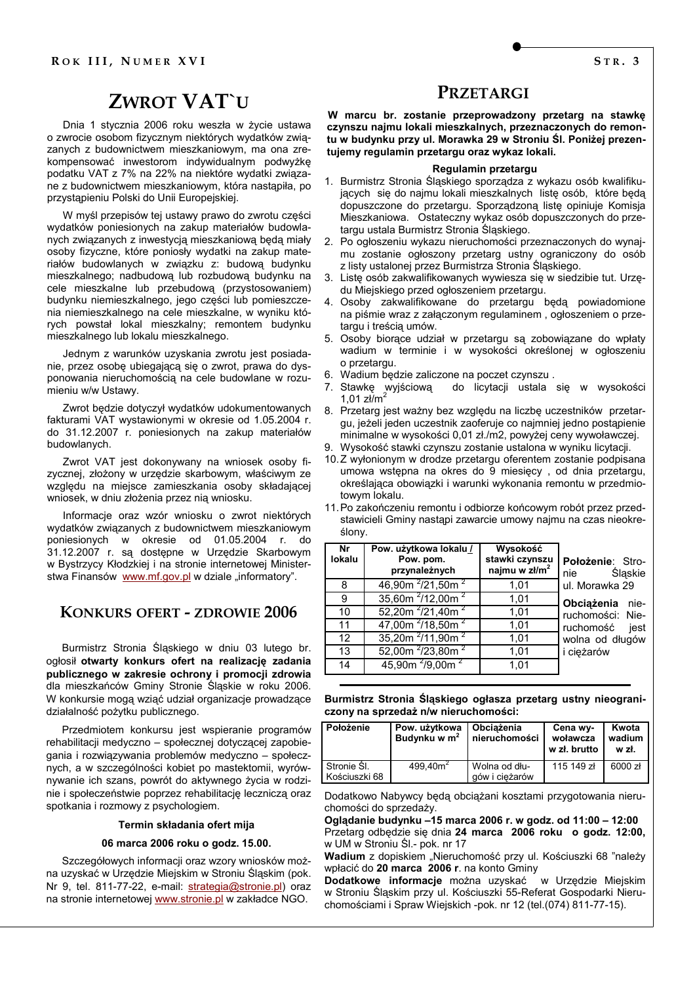# **ZWROT VAT'U**

Dnia 1 stvcznia 2006 roku weszła w życie ustawa o zwrocie osobom fizycznym niektórych wydatków związanych z budownictwem mieszkaniowym, ma ona zrekompensować inwestorom indywidualnym podwyżkę podatku VAT z 7% na 22% na niektóre wydatki związane z budownictwem mieszkaniowym, która nastąpiła, po przystąpieniu Polski do Unii Europejskiej.

W myśl przepisów tej ustawy prawo do zwrotu części wydatków poniesionych na zakup materiałów budowlanych związanych z inwestycją mieszkaniową będą miały osoby fizyczne, które poniosły wydatki na zakup materiałów budowlanych w związku z: budową budynku mieszkalnego: nadbudowa lub rozbudowa budynku na cele mieszkalne lub przebudową (przystosowaniem) budynku niemieszkalnego, jego części lub pomieszczenia niemieszkalnego na cele mieszkalne, w wyniku których powstał lokal mieszkalny; remontem budynku mieszkalnego lub lokalu mieszkalnego.

Jednym z warunków uzyskania zwrotu jest posiadanie, przez osobę ubiegającą się o zwrot, prawa do dysponowania nieruchomością na cele budowlane w rozumieniu w/w Ustawy.

Zwrot będzie dotyczył wydatków udokumentowanych fakturami VAT wystawionymi w okresie od 1.05.2004 r. do 31.12.2007 r. poniesionych na zakup materiałów budowlanych.

Zwrot VAT jest dokonywany na wniosek osoby fizycznej, złożony w urzędzie skarbowym, właściwym ze względu na miejsce zamieszkania osoby składającej wniosek, w dniu złożenia przez nia wniosku.

Informacje oraz wzór wniosku o zwrot niektórych wydatków związanych z budownictwem mieszkaniowym poniesionych w okresie od 01.05.2004 r. do 31.12.2007 r. są dostępne w Urzędzie Skarbowym w Bystrzycy Kłodzkiej i na stronie internetowej Ministerstwa Finansów www.mf.gov.pl w dziale "informatory".

### **KONKURS OFERT - ZDROWIE 2006**

Burmistrz Stronia Śląskiego w dniu 03 lutego br. ogłosił otwarty konkurs ofert na realizację zadania publicznego w zakresie ochrony i promocji zdrowia dla mieszkańców Gminy Stronie Śląskie w roku 2006. W konkursie mogą wziąć udział organizacje prowadzące działalność pożytku publicznego.

Przedmiotem konkursu jest wspieranie programów rehabilitacji medyczno - społecznej dotyczącej zapobiegania i rozwiązywania problemów medyczno - społecznych, a w szczególności kobiet po mastektomii, wyrównywanie ich szans, powrót do aktywnego życia w rodzinie i społeczeństwie poprzez rehabilitację leczniczą oraz spotkania i rozmowy z psychologiem.

#### Termin składania ofert mija

#### 06 marca 2006 roku o godz. 15.00.

Szczegółowych informacji oraz wzory wniosków można uzyskać w Urzędzie Miejskim w Stroniu Śląskim (pok. Nr 9, tel. 811-77-22, e-mail: strategia@stronie.pl) oraz na stronie internetowej www.stronie.pl w zakładce NGO.

### PRZETARGI

W marcu br. zostanie przeprowadzony przetarg na stawkę czynszu najmu lokali mieszkalnych, przeznaczonych do remontu w budynku przy ul. Morawka 29 w Stroniu Śl. Poniżej prezentujemy regulamin przetargu oraz wykaz lokali.

#### Regulamin przetargu

- 1. Burmistrz Stronia Śląskiego sporządza z wykazu osób kwalifikujacych się do najmu lokali mieszkalnych liste osób. które beda dopuszczone do przetargu. Sporządzoną listę opiniuje Komisja Mieszkaniowa. Ostateczny wykaz osób dopuszczonych do przetargu ustala Burmistrz Stronia Śląskiego.
- 2. Po ogłoszeniu wykazu nieruchomości przeznaczonych do wynajmu zostanie ogłoszony przetarg ustny ograniczony do osób z listy ustalonej przez Burmistrza Stronia Śląskiego.
- 3. Liste osób zakwalifikowanych wywiesza się w siedzibie tut. Urzędu Miejskiego przed ogłoszeniem przetargu.
- 4. Osoby zakwalifikowane do przetargu będą powiadomione na piśmie wraz z załaczonym regulaminem, ogłoszeniem o przetargu i treścią umów.
- 5. Osoby biorące udział w przetargu są zobowiązane do wpłaty wadium w terminie i w wysokości określonej w ogłoszeniu o przetargu.
- 6. Wadium będzie zaliczone na poczet czynszu.
- 7. Stawkę wyjściową<br>1,01 zł/m<sup>2</sup> do licytacji ustala się w wysokości
- 8. Przetarg jest ważny bez względu na liczbę uczestników przetargu, jeżeli jeden uczestnik zaoferuje co najmniej jedno postąpienie minimalne w wysokości 0,01 zł./m2, powyżej ceny wywoławczej.
- 9. Wysokość stawki czynszu zostanie ustalona w wyniku licytacji.
- 10.Z wyłonionym w drodze przetargu oferentem zostanie podpisana umowa wstępna na okres do 9 miesięcy, od dnia przetargu, określająca obowiązki i warunki wykonania remontu w przedmiotowym lokalu.
- 11. Po zakończeniu remontu i odbiorze końcowym robót przez przedstawicieli Gminy nastąpi zawarcie umowy najmu na czas nieokreślony.

| Nr<br>lokalu | Pow. użytkowa lokalu /<br>Pow. pom.<br>przynależnych | Wysokość<br>stawki czynszu<br>najmu w zł/m <sup>2</sup> | Położenie: Stro-<br>Śląskie<br>nie                       |
|--------------|------------------------------------------------------|---------------------------------------------------------|----------------------------------------------------------|
| 8            | 46,90m $^{2}/21,50$ m $^{2}$                         | 1,01                                                    | ul. Morawka 29                                           |
| 9            | 35,60m $^{2}/12,00m$ $^{2}$                          | 1,01                                                    | Obciażenia nie-                                          |
| 10           | 52,20m $^{2}/21,40m^{2}$                             | 1,01                                                    | ruchomości: Nie-<br>ruchomość<br>jest<br>wolna od długów |
| 11           | 47,00m $^{2}$ /18,50m $^{2}$                         | 1,01                                                    |                                                          |
| 12           | 35,20m $^{2}/11,90m$ $^{2}$                          | 1,01                                                    |                                                          |
| 13           | 52,00m <sup>2</sup> /23,80m <sup>2</sup>             | 1,01                                                    | i ciężarów                                               |
| 14           | 45,90m $^{2}/9,00m$ $^{2}$                           | 1.01                                                    |                                                          |

Burmistrz Stronia Śląskiego ogłasza przetarg ustny nieograniczony na sprzedaż n/w nieruchomości:

| <b>Położenie</b>             | Pow. użytkowa<br>Budynku w m <sup>2</sup> | Obciażenia<br>nieruchomości     | Cena wy-<br>woławcza<br>w zł. brutto | Kwota<br>wadium<br>w zł. |
|------------------------------|-------------------------------------------|---------------------------------|--------------------------------------|--------------------------|
| Stronie SI.<br>Kościuszki 68 | 499.40 $m2$                               | Wolna od dłu-<br>gów i ciężarów | 115 149 zł                           | 6000 zł                  |

Dodatkowo Nabywcy będą obciążani kosztami przygotowania nieruchomości do sprzedaży.

Oglądanie budynku -15 marca 2006 r. w godz. od 11:00 - 12:00 Przetarg odbędzie się dnia 24 marca 2006 roku o godz. 12:00, w UM w Stroniu Śl.- pok. nr 17

Wadium z dopiskiem "Nieruchomość przy ul. Kościuszki 68 "należy wpłacić do 20 marca 2006 r. na konto Gminy

Dodatkowe informacje można uzyskać w Urzędzie Miejskim w Stroniu Śląskim przy ul. Kościuszki 55-Referat Gospodarki Nieruchomościami i Spraw Wiejskich -pok. nr 12 (tel.(074) 811-77-15).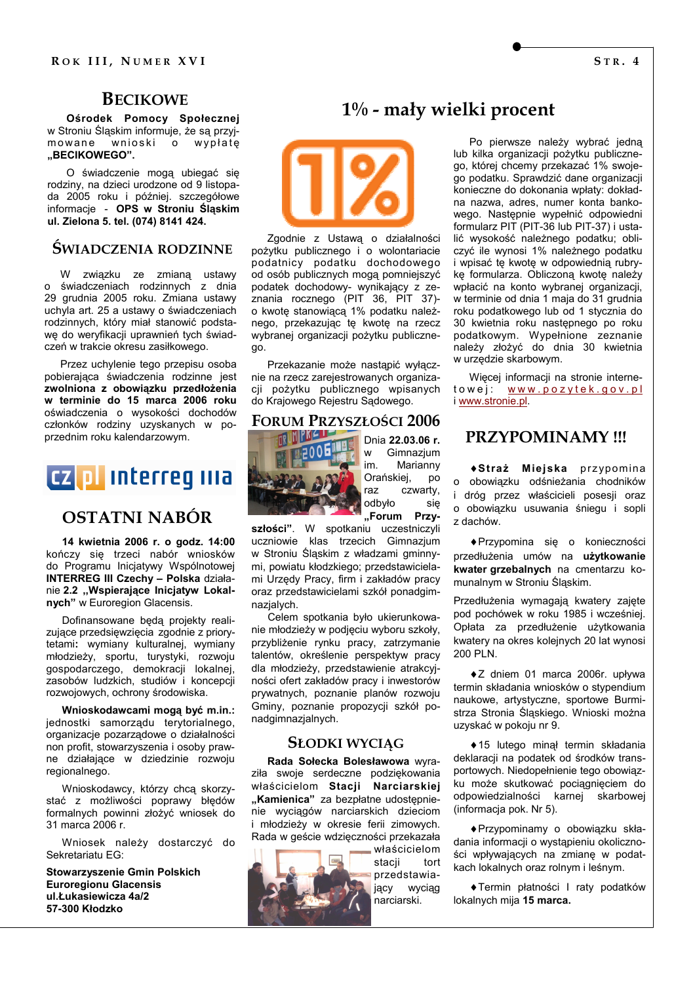# **BECIKOWE**

Ośrodek Pomocy Społecznej w Stroniu Śląskim informuje, że są przyjmowane wnioski o wypłatę "BECIKOWEGO".

O świadczenie mogą ubiegać się rodziny, na dzieci urodzone od 9 listopada 2005 roku i później. szczegółowe informacje - OPS w Stroniu Śląskim ul. Zielona 5. tel. (074) 8141 424.

# ŚWIADCZENIA RODZINNE

W związku ze zmianą ustawy<br>o świadczeniach rodzinnych z dnia 29 grudnia 2005 roku. Zmiana ustawy uchyla art. 25 a ustawy o świadczeniach rodzinnych, który miał stanowić podstawę do weryfikacji uprawnień tych świadczeń w trakcie okresu zasiłkowego.

Przez uchylenie tego przepisu osoba pobierająca świadczenia rodzinne jest zwolniona z obowiązku przedłożenia w terminie do 15 marca 2006 roku oświadczenia o wysokości dochodów członków rodziny uzyskanych w poprzednim roku kalendarzowym.



# **OSTATNI NABÓR**

14 kwietnia 2006 r. o godz. 14:00 kończy sie trzeci nabór wniosków do Programu Inicjatywy Wspólnotowej **INTERREG III Czechy - Polska działa**nie 2.2 "Wspierające Inicjatyw Lokalnych" w Euroregion Glacensis.

Dofinansowane będą projekty realizujące przedsiewziecia zgodnie z priorytetami: wymiany kulturalnej, wymiany młodzieży, sportu, turystyki, rozwoju gospodarczego, demokracji lokalnej, zasobów ludzkich, studiów i koncepcji rozwojowych, ochrony środowiska.

Wnioskodawcami moga być m.in.: jednostki samorządu terytorialnego, organizacje pozarządowe o działalności non profit, stowarzyszenia i osoby prawne działające w dziedzinie rozwoju regionalnego.

Wnioskodawcy, którzy chcą skorzystać z możliwości poprawy błędów formalnych powinni złożyć wniosek do 31 marca 2006 r.

Wniosek należy dostarczyć do Sekretariatu EG:

**Stowarzyszenie Gmin Polskich Euroregionu Glacensis** ul.Łukasiewicza 4a/2 57-300 Kłodzko

# $1\%$  - mały wielki procent

Po pierwsze należy wybrać jedna lub kilka organizacji pożytku publicznego, której chcemy przekazać 1% swojego podatku. Sprawdzić dane organizacji konieczne do dokonania wpłaty: dokładna nazwa, adres, numer konta bankowego. Następnie wypełnić odpowiedni formularz PIT (PIT-36 lub PIT-37) i ustalić wysokość należnego podatku; obliczyć ile wynosi 1% należnego podatku i wpisać te kwote w odpowiednia rubrykę formularza. Obliczoną kwotę należy wpłacić na konto wybranej organizacji, w terminie od dnia 1 maja do 31 grudnia roku podatkowego lub od 1 stycznia do 30 kwietnia roku następnego po roku podatkowym. Wypełnione zeznanie należy złożyć do dnia 30 kwietnia w urzędzie skarbowym.

Więcej informacji na stronie internetowej: www.pozytek.gov.pl i www.stronie.pl.



go.

Dnia 22.03.06 r. Gimnazjum Marianny im. Orańskiej, **DO** raz czwarty, odbyło się "Forum Przy-

szłości". W spotkaniu uczestniczyli uczniowie klas trzecich Gimnazium w Stroniu Śląskim z władzami gminnymi, powiatu kłodzkiego; przedstawicielami Urzędy Pracy, firm i zakładów pracy oraz przedstawicielami szkół ponadgimnazjalych.

Zgodnie z Ustawą o działalności

pożytku publicznego i o wolontariacie

podatnicy podatku dochodowego

od osób publicznych mogą pomniejszyć

podatek dochodowy- wynikający z ze-

znania rocznego (PIT 36, PIT 37)-

o kwotę stanowiącą 1% podatku należ-

nego, przekazując tę kwotę na rzecz

wybranej organizacji pożytku publiczne-

nie na rzecz zarejestrowanych organiza-

cji pożytku publicznego wpisanych

**FORUM PRZYSZŁOŚCI 2006** 

do Krajowego Rejestru Sądowego.

Przekazanie może nastąpić wyłacz-

Celem spotkania było ukierunkowanie młodzieży w podjeciu wyboru szkoły, przybliżenie rynku pracy, zatrzymanie talentów, określenie perspektyw pracy dla młodzieży, przedstawienie atrakcyjności ofert zakładów pracy i inwestorów prywatnych, poznanie planów rozwoju Gminy, poznanie propozycji szkół ponadgimnazjalnych.

### **SŁODKI WYCIĄG**

Rada Sołecka Bolesławowa wyraziła swoje serdeczne podziękowania właścicielom Stacji Narciarskiej "Kamienica" za bezpłatne udostepnienie wyciągów narciarskich dzieciom i młodzieży w okresie ferii zimowych. Rada w geście wdzięczności przekazała



właścicielom stacji tort przedstawiający wyciag narciarski.

PRZYPOMINAMY !!!

◆Straż Miejska przypomina o obowiązku odśnieżania chodników i dróg przez właścicieli posesii oraz o obowiązku usuwania śniegu i sopli z dachów.

◆ Przypomina się o konieczności przedłużenia umów na użytkowanie kwater grzebalnych na cmentarzu komunalnym w Stroniu Śląskim.

Przedłużenia wymagają kwatery zajęte pod pochówek w roku 1985 i wcześniej. Opłata za przedłużenie użytkowania kwatery na okres kolejnych 20 lat wynosi 200 PIN

◆Z dniem 01 marca 2006r. upływa termin składania wniosków o stypendium naukowe, artystyczne, sportowe Burmistrza Stronia Śląskiego. Wnioski można uzyskać w pokoju nr 9.

◆ 15 lutego minął termin składania deklaracji na podatek od środków transportowych. Niedopełnienie tego obowiązku może skutkować pociagnieciem do odpowiedzialności karnej skarbowej (informacia pok. Nr 5).

◆ Przypominamy o obowiązku składania informacji o wystapieniu okoliczności wpływających na zmianę w podatkach lokalnych oraz rolnym i leśnym.

◆ Termin płatności I raty podatków lokalnych mija 15 marca.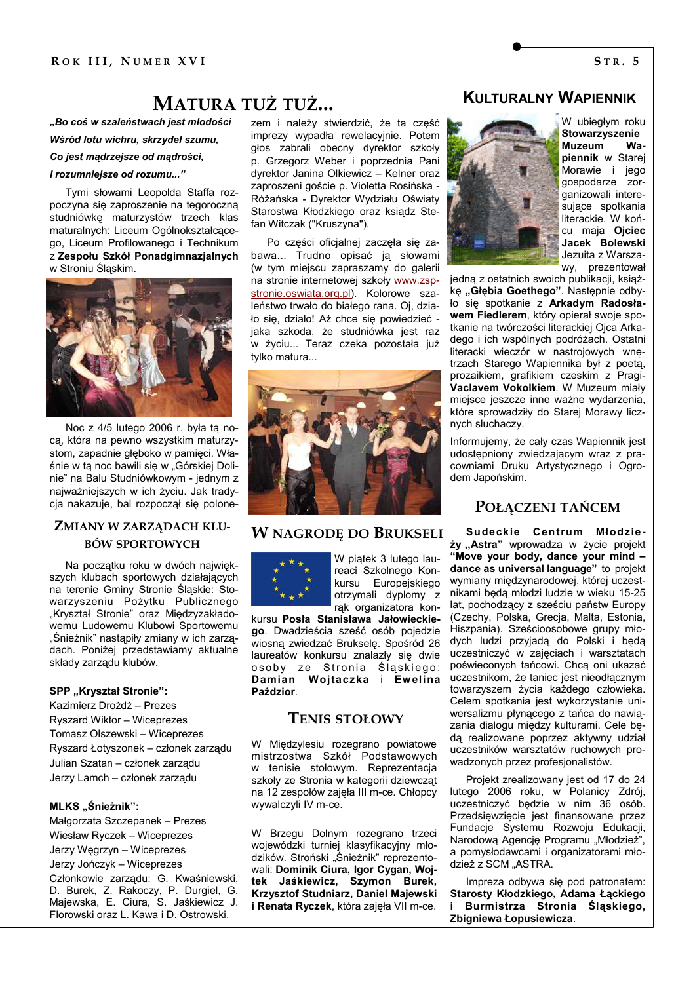# **MATURA TUŻ TUŻ...**

"Bo coś w szaleństwach jest młodości Wśród lotu wichru, skrzydeł szumu.

Co jest madrzejsze od madrości,

#### I rozumniejsze od rozumu..."

Tymi słowami Leopolda Staffa rozpoczyna się zaproszenie na tegoroczną studniówkę maturzystów trzech klas maturalnych: Liceum Ogólnokształcącego, Liceum Profilowanego i Technikum z Zespołu Szkół Ponadgimnazjalnych w Stroniu Śląskim.



Noc z 4/5 lutego 2006 r. była tą noca, która na pewno wszystkim maturzystom, zapadnie głęboko w pamięci. Właśnie w tą noc bawili się w "Górskiej Dolinie" na Balu Studniówkowym - jednym z najważniejszych w ich życiu. Jak tradycia nakazuje, bal rozpoczął się polone-

### ZMIANY W ZARZĄDACH KLU-**BÓW SPORTOWYCH**

Na początku roku w dwóch największych klubach sportowych działających na terenie Gminy Stronie Śląskie: Stowarzyszeniu Pożytku Publicznego "Kryształ Stronie" oraz Miedzyzakładowemu Ludowemu Klubowi Sportowemu "Śnieżnik" nastąpiły zmiany w ich zarządach. Poniżej przedstawiamy aktualne składy zarządu klubów.

#### SPP "Kryształ Stronie":

Kazimierz Drożdż – Prezes Ryszard Wiktor - Wiceprezes Tomasz Olszewski - Wiceprezes Ryszard Łotyszonek – członek zarzadu Julian Szatan - członek zarządu Jerzy Lamch - członek zarzadu

### MLKS "Śnieżnik":

Małgorzata Szczepanek – Prezes Wiesław Ryczek – Wiceprezes Jerzy Węgrzyn - Wiceprezes Jerzy Jończyk – Wiceprezes Członkowie zarzadu: G. Kwaśniewski. D. Burek, Z. Rakoczy, P. Durgiel, G. Majewska, E. Ciura, S. Jaśkiewicz J. Florowski oraz L. Kawa i D. Ostrowski.

zem i należy stwierdzić, że ta część imprezy wypadła rewelacyjnie. Potem głos zabrali obecny dyrektor szkoły p. Grzegorz Weber i poprzednia Pani dyrektor Janina Olkiewicz - Kelner oraz zaproszeni goście p. Violetta Rosińska -Różańska - Dyrektor Wydziału Oświaty Starostwa Kłodzkiego oraz ksiądz Stefan Witczak ("Kruszyna").

Po cześci oficialnej zaczeła sie zabawa... Trudno opisać ją słowami (w tym miejscu zapraszamy do galerii na stronie internetowej szkoły www.zspstronie.oswiata.org.pl). Kolorowe szaleństwo trwało do białego rana. Oj, działo się, działo! Aż chce się powiedzieć jaka szkoda, że studniówka iest raz w życiu... Teraz czeka pozostała już tvlko matura...



# **W NAGRODE DO BRUKSELI**



W piątek 3 lutego laureaci Szkolnego Konkursu Europejskiego otrzymali dyplomy z rak organizatora kon-

kursu Posła Stanisława Jałowieckiego. Dwadzieścia sześć osób pojedzie wiosna zwiedzać Bruksele. Spośród 26 laureatów konkursu znalazły się dwie osoby ze Stronia Śląskiego: Damian Wojtaczka i Ewelina Paździor.

### **TENIS STOŁOWY**

W Międzylesiu rozegrano powiatowe mistrzostwa Szkół Podstawowych w tenisie stołowym. Reprezentacja szkoły ze Stronia w kategorii dziewcząt na 12 zespołów zajęła III m-ce. Chłopcy wywalczyli IV m-ce.

W Brzegu Dolnym rozegrano trzeci wojewódzki turniej klasyfikacyjny młodzików. Stroński "Śnieżnik" reprezentowali: Dominik Ciura, Igor Cygan, Wojtek Jaśkiewicz, Szymon Burek, Krzysztof Studniarz, Daniel Majewski i Renata Ryczek, która zajęła VII m-ce.

# **KULTURALNY WAPIENNIK**



W ubiegłym roku Stowarzyszenie **Muzeum** Wapiennik w Starej Morawie i jego gospodarze zorganizowali interesujace spotkania literackie. W końcu maja Ojciec Jacek Bolewski Jezuita z Warszawy, prezentował

jedną z ostatnich swoich publikacji, książke "Głębia Goethego". Następnie odbyło się spotkanie z Arkadym Radosławem Fiedlerem, który opierał swoje spotkanie na twórczości literackiej Ojca Arkadego i ich wspólnych podróżach. Ostatni literacki wieczór w nastrojowych wnętrzach Starego Wapiennika był z poetą, prozaikiem, grafikiem czeskim z Pragi-Vaclavem Vokolkiem. W Muzeum miały miejsce jeszcze inne ważne wydarzenia, które sprowadziły do Starej Morawy licznych słuchaczy.

Informujemy, że cały czas Wapiennik jest udostępniony zwiedzającym wraz z pracowniami Druku Artystycznego i Ogrodem Japońskim.

### POŁĄCZENI TAŃCEM

Sudeckie Centrum Młodzieży "Astra" wprowadza w życie projekt "Move your body, dance your mind dance as universal language" to projekt wymiany międzynarodowej, której uczestnikami będą młodzi ludzie w wieku 15-25 lat, pochodzący z sześciu państw Europy (Czechy, Polska, Grecja, Malta, Estonia, Hiszpania). Sześcioosobowe grupy młodych ludzi przyjadą do Polski i będą uczestniczyć w zajęciach i warsztatach poświeconych tańcowi. Chca oni ukazać uczestnikom, że taniec jest nieodłącznym towarzyszem życia każdego człowieka. Celem spotkania jest wykorzystanie uniwersalizmu płynącego z tańca do nawiązania dialogu między kulturami. Cele będa realizowane poprzez aktywny udział uczestników warsztatów ruchowych prowadzonych przez profesjonalistów.

Projekt zrealizowany jest od 17 do 24 lutego 2006 roku, w Polanicy Zdrój, uczestniczyć będzie w nim 36 osób. Przedsiewziecie iest finansowane przez Fundacje Systemu Rozwoju Edukacji, Narodową Agencję Programu "Młodzież", a pomysłodawcami i organizatorami młodzież z SCM "ASTRA.

Impreza odbywa się pod patronatem: Starosty Kłodzkiego, Adama Łąckiego i Burmistrza Stronia Śląskiego, Zbigniewa Łopusiewicza.